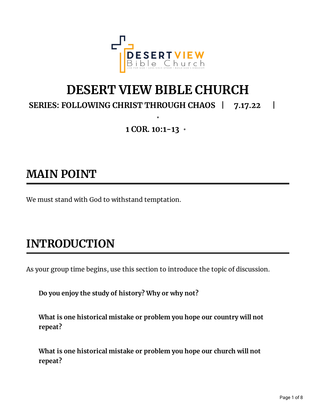

# **DESERT VIEW BIBLE CHURCH**

**SERIES: FOLLOWING CHRIST THROUGH CHAOS | 7.17.22 |**

**1 COR. 10:1-13 •**

**•**

### **MAIN POINT**

We must stand with God to withstand temptation.

# **INTRODUCTION**

As your group time begins, use this section to introduce the topic of discussion.

**Do you enjoy the study of history? Why or why not?**

**What is one historical mistake or problem you hope our country will not repeat?**

**What is one historical mistake or problem you hope our church will not repeat?**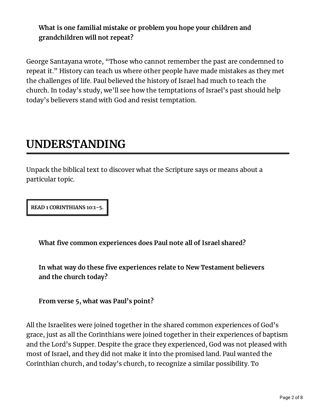#### **What is one familial mistake or problem you hope your children and grandchildren will not repeat?**

George Santayana wrote, "Those who cannot remember the past are condemned to repeat it." History can teach us where other people have made mistakes as they met the challenges of life. Paul believed the history of Israel had much to teach the church. In today's study, we'll see how the temptations of Israel's past should help today's believers stand with God and resist temptation.

### **UNDERSTANDING**

Unpack the biblical text to discover what the Scripture says or means about a particular topic.

**READ 1 CORINTHIANS 10:1-5.**

**What ve common experiences does Paul note all of Israel shared?**

**In what way do these ve experiences relate to New Testament believers and the church today?**

**From verse 5, what was Paul's point?**

All the Israelites were joined together in the shared common experiences of God's grace, just as all the Corinthians were joined together in their experiences of baptism and the Lord's Supper. Despite the grace they experienced, God was not pleased with most of Israel, and they did not make it into the promised land. Paul wanted the Corinthian church, and today's church, to recognize a similar possibility. To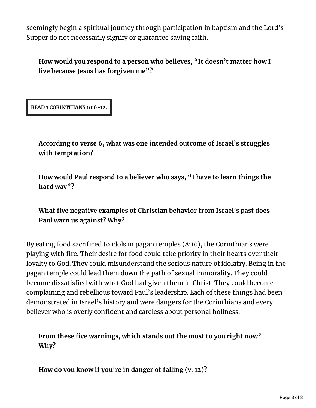seemingly begin a spiritual journey through participation in baptism and the Lord's Supper do not necessarily signify or guarantee saving faith.

**How would you respond to a person who believes, "It doesn't matter how I live because Jesus has forgiven me"?**

**READ 1 CORINTHIANS 10:6-12.**

**According to verse 6, what was one intended outcome of Israel's struggles with temptation?**

**How would Paul respond to a believer who says, "I have to learn things the hard way"?**

**What ve negative examples of Christian behavior from Israel's past does Paul warn us against? Why?**

By eating food sacrificed to idols in pagan temples  $(8:10)$ , the Corinthians were playing with fire. Their desire for food could take priority in their hearts over their loyalty to God. They could misunderstand the serious nature of idolatry. Being in the pagan temple could lead them down the path of sexual immorality. They could become dissatisfied with what God had given them in Christ. They could become complaining and rebellious toward Paul's leadership. Each of these things had been demonstrated in Israel's history and were dangers for the Corinthians and every believer who is overly confident and careless about personal holiness.

**From these ve warnings, which stands out the most to you right now? Why?**

**How do you know if you're in danger of falling (v. 12)?**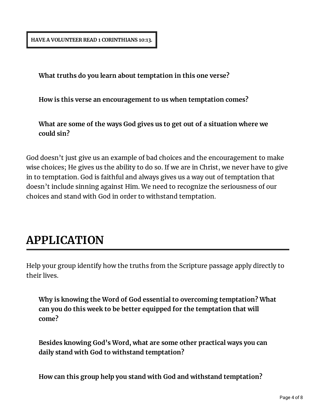**HAVE A VOLUNTEER READ 1 CORINTHIANS 10:13.**

**What truths do you learn about temptation in this one verse?**

**How is this verse an encouragement to us when temptation comes?**

**What are some of the ways God gives us to get out of a situation where we could sin?**

God doesn't just give us an example of bad choices and the encouragement to make wise choices; He gives us the ability to do so. If we are in Christ, we never have to give in to temptation. God is faithful and always gives us a way out of temptation that doesn't include sinning against Him. We need to recognize the seriousness of our choices and stand with God in order to withstand temptation.

#### **APPLICATION**

Help your group identify how the truths from the Scripture passage apply directly to their lives.

**Why is knowing the Word of God essential to overcoming temptation? What can you do this week to be better equipped for the temptation that will come?**

**Besides knowing God's Word, what are some other practical ways you can daily stand with God to withstand temptation?**

**How can this group help you stand with God and withstand temptation?**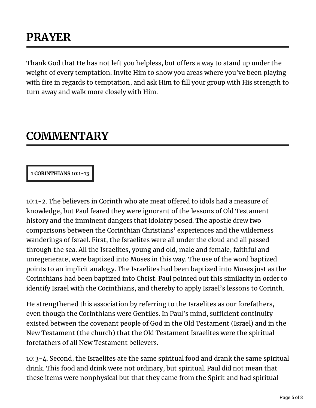## **PRAYER**

Thank God that He has not left you helpless, but offers a way to stand up under the weight of every temptation. Invite Him to show you areas where you've been playing with fire in regards to temptation, and ask Him to fill your group with His strength to turn away and walk more closely with Him.

#### **COMMENTARY**

#### **1 CORINTHIANS 10:1-13**

10:1-2. The believers in Corinth who ate meat offered to idols had a measure of knowledge, but Paul feared they were ignorant of the lessons of Old Testament history and the imminent dangers that idolatry posed. The apostle drew two comparisons between the Corinthian Christians' experiences and the wilderness wanderings of Israel. First, the Israelites were all under the cloud and all passed through the sea. All the Israelites, young and old, male and female, faithful and unregenerate, were baptized into Moses in this way. The use of the word baptized points to an implicit analogy. The Israelites had been baptized into Moses just as the Corinthians had been baptized into Christ. Paul pointed out this similarity in order to identify Israel with the Corinthians, and thereby to apply Israel's lessons to Corinth.

He strengthened this association by referring to the Israelites as our forefathers, even though the Corinthians were Gentiles. In Paul's mind, sufficient continuity existed between the covenant people of God in the Old Testament (Israel) and in the New Testament (the church) that the Old Testament Israelites were the spiritual forefathers of all New Testament believers.

10:3-4. Second, the Israelites ate the same spiritual food and drank the same spiritual drink. This food and drink were not ordinary, but spiritual. Paul did not mean that these items were nonphysical but that they came from the Spirit and had spiritual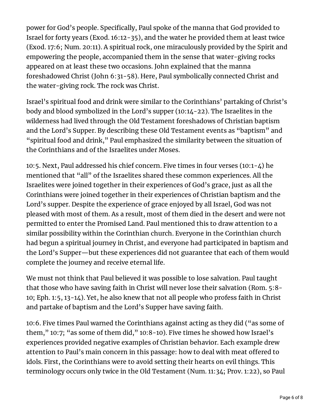power for God's people. Specifically, Paul spoke of the manna that God provided to Israel for forty years (Exod. 16:12-35), and the water he provided them at least twice (Exod. 17:6; Num. 20:11). A spiritual rock, one miraculously provided by the Spirit and empowering the people, accompanied them in the sense that water-giving rocks appeared on at least these two occasions. John explained that the manna foreshadowed Christ (John 6:31-58). Here, Paul symbolically connected Christ and the water-giving rock. The rock was Christ.

Israel's spiritual food and drink were similar to the Corinthians' partaking of Christ's body and blood symbolized in the Lord's supper (10:14-22). The Israelites in the wilderness had lived through the Old Testament foreshadows of Christian baptism and the Lord's Supper. By describing these Old Testament events as "baptism" and "spiritual food and drink," Paul emphasized the similarity between the situation of the Corinthians and of the Israelites under Moses.

10:5. Next, Paul addressed his chief concern. Five times in four verses (10:1-4) he mentioned that "all" of the Israelites shared these common experiences. All the Israelites were joined together in their experiences of God's grace, just as all the Corinthians were joined together in their experiences of Christian baptism and the Lord's supper. Despite the experience of grace enjoyed by all Israel, God was not pleased with most of them. As a result, most of them died in the desert and were not permitted to enter the Promised Land. Paul mentioned this to draw attention to a similar possibility within the Corinthian church. Everyone in the Corinthian church had begun a spiritual journey in Christ, and everyone had participated in baptism and the Lord's Supper—but these experiences did not guarantee that each of them would complete the journey and receive eternal life.

We must not think that Paul believed it was possible to lose salvation. Paul taught that those who have saving faith in Christ will never lose their salvation (Rom. 5:8- 10; Eph. 1:5, 13-14). Yet, he also knew that not all people who profess faith in Christ and partake of baptism and the Lord's Supper have saving faith.

10:6. Five times Paul warned the Corinthians against acting as they did ("as some of them," 10:7; "as some of them did," 10:8-10). Five times he showed how Israel's experiences provided negative examples of Christian behavior. Each example drew attention to Paul's main concern in this passage: how to deal with meat offered to idols. First, the Corinthians were to avoid setting their hearts on evil things. This terminology occurs only twice in the Old Testament (Num. 11:34; Prov. 1:22), so Paul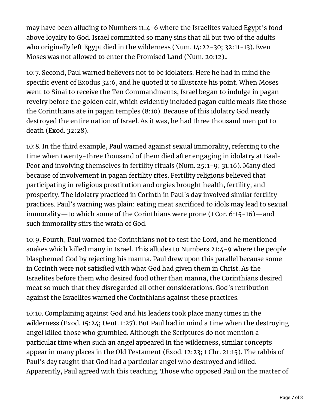may have been alluding to Numbers 11:4-6 where the Israelites valued Egypt's food above loyalty to God. Israel committed so many sins that all but two of the adults who originally left Egypt died in the wilderness (Num. 14:22-30; 32:11-13). Even Moses was not allowed to enter the Promised Land (Num. 20:12)..

10:7. Second, Paul warned believers not to be idolaters. Here he had in mind the specific event of Exodus 32:6, and he quoted it to illustrate his point. When Moses went to Sinai to receive the Ten Commandments, Israel began to indulge in pagan revelry before the golden calf, which evidently included pagan cultic meals like those the Corinthians ate in pagan temples (8:10). Because of this idolatry God nearly destroyed the entire nation of Israel. As it was, he had three thousand men put to death (Exod. 32:28).

10:8. In the third example, Paul warned against sexual immorality, referring to the time when twenty-three thousand of them died after engaging in idolatry at Baal-Peor and involving themselves in fertility rituals (Num. 25:1-9; 31:16). Many died because of involvement in pagan fertility rites. Fertility religions believed that participating in religious prostitution and orgies brought health, fertility, and prosperity. The idolatry practiced in Corinth in Paul's day involved similar fertility practices. Paul's warning was plain: eating meat sacrificed to idols may lead to sexual immorality—to which some of the Corinthians were prone (1 Cor. 6:15-16)—and such immorality stirs the wrath of God.

10:9. Fourth, Paul warned the Corinthians not to test the Lord, and he mentioned snakes which killed many in Israel. This alludes to Numbers 21:4-9 where the people blasphemed God by rejecting his manna. Paul drew upon this parallel because some in Corinth were not satisfied with what God had given them in Christ. As the Israelites before them who desired food other than manna, the Corinthians desired meat so much that they disregarded all other considerations. God's retribution against the Israelites warned the Corinthians against these practices.

10:10. Complaining against God and his leaders took place many times in the wilderness (Exod. 15:24; Deut. 1:27). But Paul had in mind a time when the destroying angel killed those who grumbled. Although the Scriptures do not mention a particular time when such an angel appeared in the wilderness, similar concepts appear in many places in the Old Testament (Exod. 12:23; 1 Chr. 21:15). The rabbis of Paul's day taught that God had a particular angel who destroyed and killed. Apparently, Paul agreed with this teaching. Those who opposed Paul on the matter of